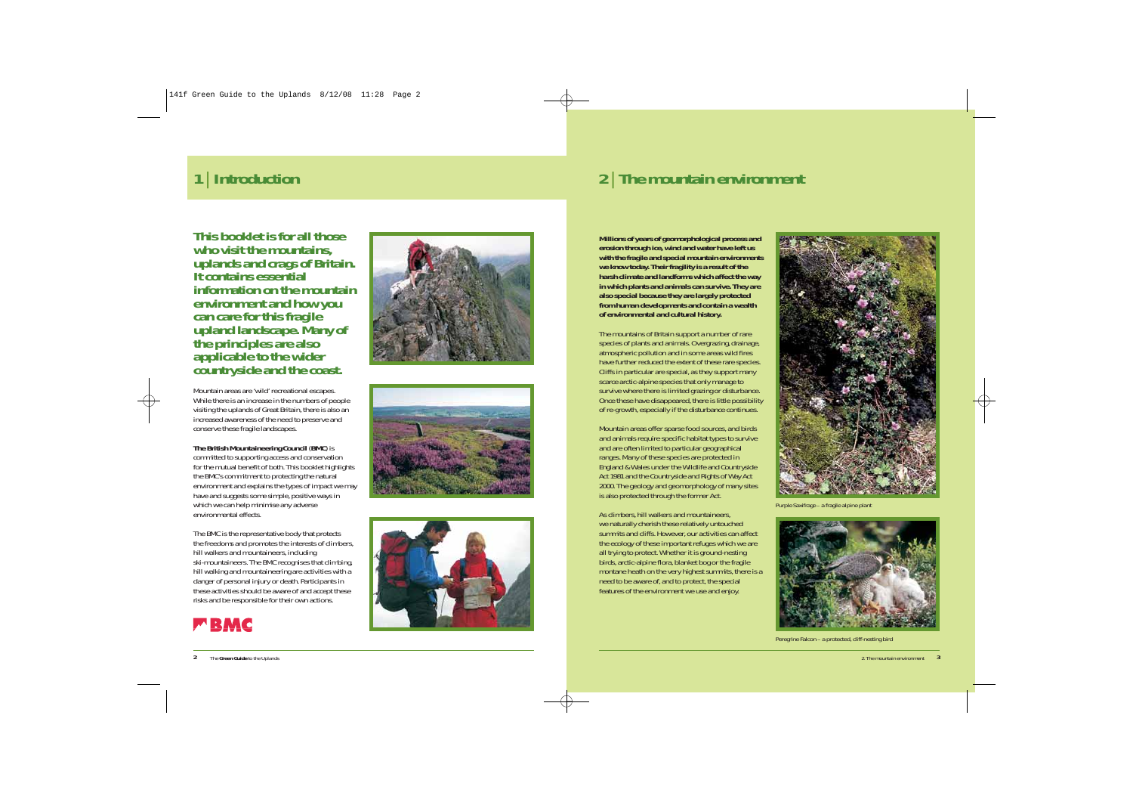**This booklet is for all those who visit the mountains, uplands and crags of Britain. It contains essential information on the mountain environment and how you can care for this fragile upland landscape. Many of the principles are also applicable to the wider countryside and the coast.**

Mountain areas are 'wild' recreational escapes. While there is an increase in the numbers of people visiting the uplands of Great Britain, there is also an increased awareness of the need to preserve and conserve these fragile landscapes.

**The British Mountaineering Council** (**BMC**) is committed to supporting access and conservation for the mutual benefit of both. This booklet highlights the BMC's commitment to protecting the natural environment and explains the types of impact we may have and suggests some simple, positive ways in which we can help minimise any adverse environmental effects.

The BMC is the representative body that protects the freedoms and promotes the interests of climbers, hill walkers and mountaineers, including ski-mountaineers. The BMC recognises that climbing, hill walking and mountaineering are activities with a danger of personal injury or death. Participants in these activities should be aware of and accept these risks and be responsible for their own actions.









## **<sup>1</sup>**| **Introduction <sup>2</sup>**| **The mountain environment**

**Millions of years of geomorphological process and erosion through ice, wind and water have left us with the fragile and special mountain environments we know today. Their fragility is a result of the harsh climate and landforms which affect the way in which plants and animals can survive. They are also special because they are largely protected from human developments and contain a wealth of environmental and cultural history.** 

The mountains of Britain support a number of rare species of plants and animals. Overgrazing, drainage, atmospheric pollution and in some areas wild fires have further reduced the extent of these rare species. Cliffs in particular are special, as they support many scarce arctic-alpine species that only manage to survive where there is limited grazing or disturbance. Once these have disappeared, there is little possibility of re-growth, especially if the disturbance continues.

Mountain areas offer sparse food sources, and birds and animals require specific habitat types to survive and are often limited to particular geographical ranges. Many of these species are protected in England & Wales under the *Wildlife and Countryside Act 1981* and the *Countryside and Rights of Way Act 2000*. The geology and geomorphology of many sites is also protected through the former Act.

As climbers, hill walkers and mountaineers, we naturally cherish these relatively untouched summits and cliffs. However, our activities can affect the ecology of these important refuges which we are all trying to protect. Whether it is ground-nesting birds, arctic-alpine flora, blanket bog or the fragile montane heath on the very highest summits, there is a need to be aware of, and to protect, the special features of the environment we use and enjoy.



*Purple Saxifrage – a fragile alpine plant* 



*Peregrine Falcon – a protected, cliff-nesting bird*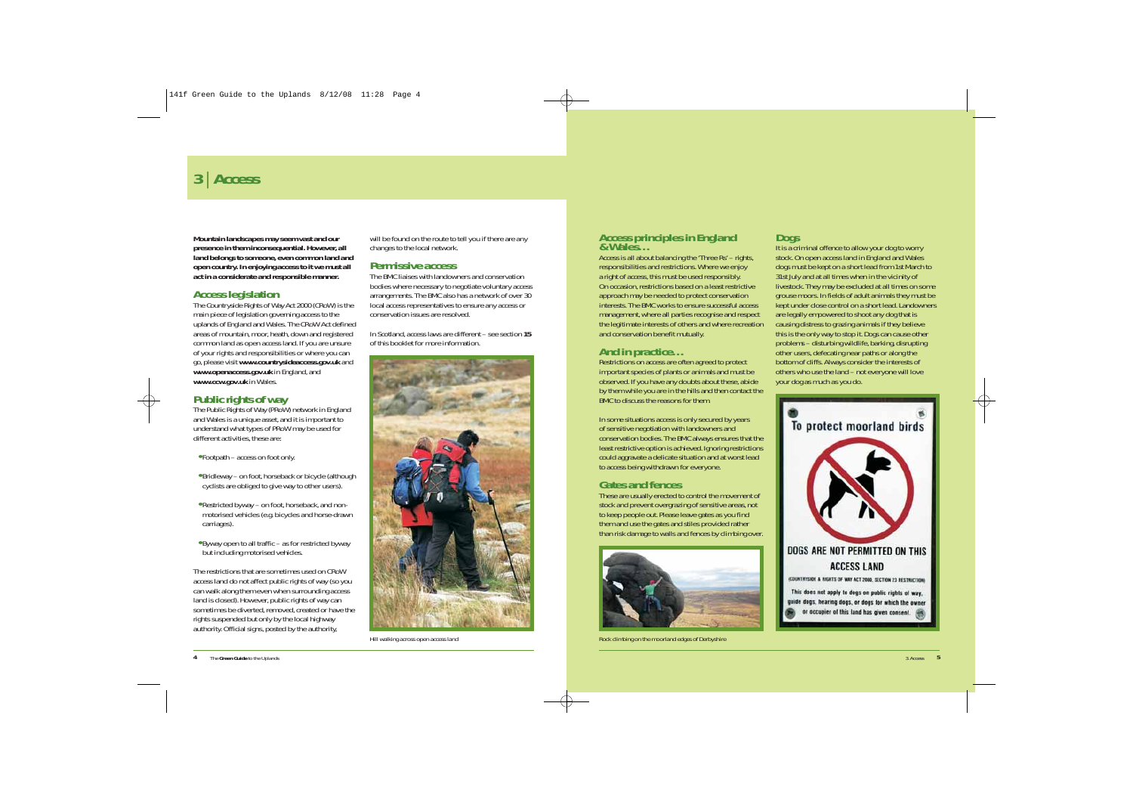**Mountain landscapes may seem vast and our presence in them inconsequential. However, all land belongs to someone, even common land and open country. In enjoying access to it we must all act in a considerate and responsible manner.** 

#### **Access legislation**

The *Countryside Rights of Way Act 2000 (CRoW)* is the main piece of legislation governing access to the uplands of England and Wales. The CRoW Act defined areas of mountain, moor, heath, down and registered common land as open access land. If you are unsure of your rights and responsibilities or where you can go, please visit *www.countrysideaccess.gov.uk* and *www.openaccess.gov.uk* in England, and *www.ccw.gov.uk* in Wales.

#### **Public rights of way**

The *Public Rights of Way (PRoW)* network in England and Wales is a unique asset, and it is important to understand what types of PRoW may be used for different activities, these are:

- **•** Footpath access on foot only.
- **•** Bridleway on foot, horseback or bicycle (although cyclists are obliged to give way to other users).
- **•** Restricted byway on foot, horseback, and nonmotorised vehicles (e.g. bicycles and horse-drawn carriages).
- **•** Byway open to all traffic as for restricted byway but including motorised vehicles.

The restrictions that are sometimes used on CRoW access land do not affect public rights of way (so you can walk along them even when surrounding access land is closed). However, public rights of way can sometimes be diverted, removed, created or have the rights suspended but only by the local highway authority. Official signs, posted by the authority,

will be found on the route to tell you if there are any changes to the local network.

#### **Permissive access**

The BMC liaises with landowners and conservation bodies where necessary to negotiate voluntary access arrangements. The BMC also has a network of over 30 local access representatives to ensure any access or conservation issues are resolved.

In Scotland, access laws are different – see section *15* of this booklet for more information.



*Hill walking across open access land*

# **Access principles in England**

Access is all about balancing the 'Three Rs' – rights, responsibilities and restrictions. Where we enjoy a right of access, this must be used responsibly. On occasion, restrictions based on a least restrictive approach may be needed to protect conservation interests. The BMC works to ensure successful access management, where all parties recognise and respect the legitimate interests of others and where recreation and conservation benefit mutually.

### **And in practice…**

Restrictions on access are often agreed to protect important species of plants or animals and must be observed. If you have any doubts about these, abide by them while you are in the hills and then contact the BMC to discuss the reasons for them.

In some situations access is only secured by years of sensitive negotiation with landowners and conservation bodies. The BMC always ensures that the least restrictive option is achieved. Ignoring restrictions could aggravate a delicate situation and at worst lead to access being withdrawn for everyone.

### **Gates and fences**

These are usually erected to control the movement of stock and prevent overgrazing of sensitive areas, not to keep people out. Please leave gates as you find them and use the gates and stiles provided rather than risk damage to walls and fences by climbing over.



*Rock climbing on the moorland edges of Derbyshire*

#### **Dogs**

It is a criminal offence to allow your dog to worry stock. On open access land in England and Wales dogs must be kept on a short lead from 1st March to 31st July and at all times when in the vicinity of livestock. They may be excluded at all times on some grouse moors. In fields of adult animals they must be kept under close control on a short lead. Landowners are legally empowered to shoot any dog that is causing distress to grazing animals if they believe this is the only way to stop it. Dogs can cause other problems – disturbing wildlife, barking, disrupting other users, defecating near paths or along the bottom of cliffs. Always consider the interests of others who use the land – not everyone will love your dog as much as you do.

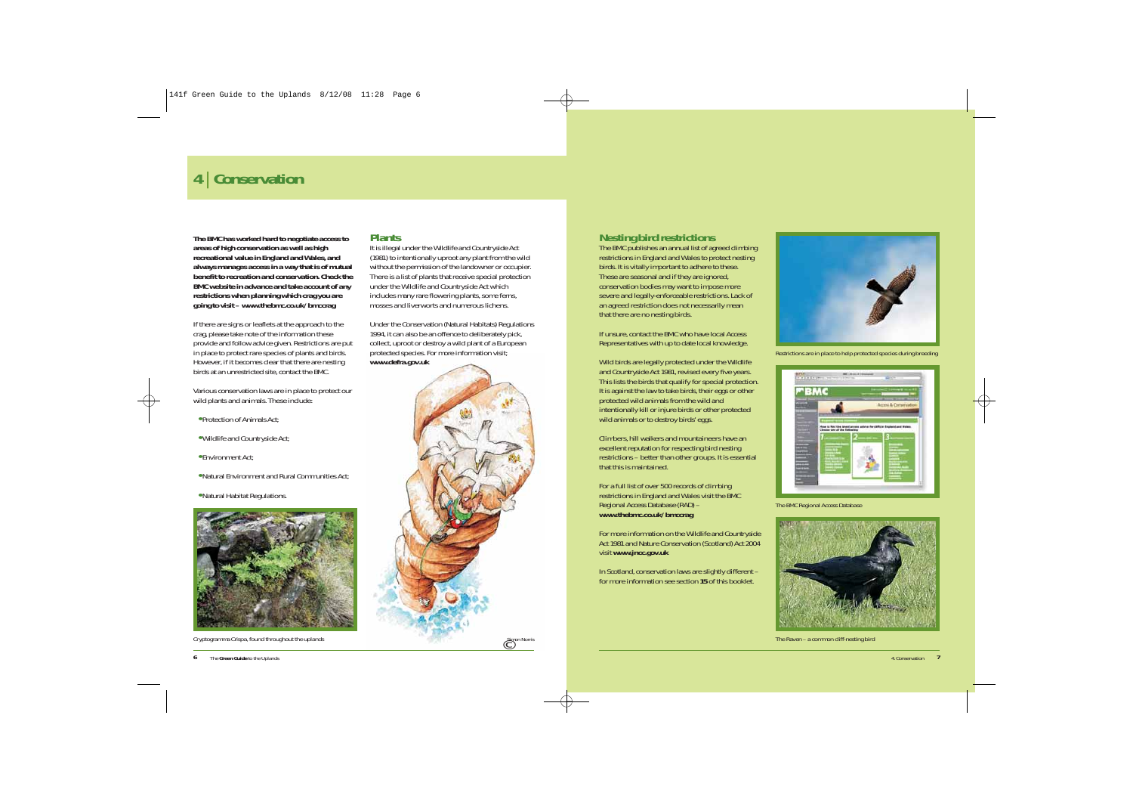# **<sup>4</sup>**| **Conservation**

**The BMC has worked hard to negotiate access to areas of high conservation as well as high recreational value in England and Wales, and always manages access in a way that is of mutual benefit to recreation and conservation. Check the BMC website in advance and take account of any restrictions when planning which crag you are going to visit –** *www.thebmc.co.uk/bmccrag*

If there are signs or leaflets at the approach to the crag, please take note of the information these provide and follow advice given. Restrictions are put in place to protect rare species of plants and birds. However, if it becomes clear that there are nesting birds at an unrestricted site, contact the BMC.

Various conservation laws are in place to protect our wild plants and animals. These include:

- **•** *Protection of Animals Act;*
- **•** *Wildlife and Countryside Act;*
- **•** *Environment Act;*
- **•** *Natural Environment and Rural Communities Act;*
- **•** *Natural Habitat Regulations.*



*Cryptogramma Crispa, found throughout the uplands Simon Norris*

#### **Plants**

It is illegal under the *Wildlife and Countryside Act (1981)* to intentionally uproot any plant from the wild without the permission of the landowner or occupier. There is a list of plants that receive special protection under the Wildlife and Countryside Act which includes many rare flowering plants, some ferns, mosses and liverworts and numerous lichens.

Under the *Conservation (Natural Habitats) Regulations 1994*, it can also be an offence to deliberately pick, collect, uproot or destroy a wild plant of a European protected species. For more information visit; *www.defra.gov.uk*



### **Nesting bird restrictions**

The BMC publishes an annual list of agreed climbing restrictions in England and Wales to protect nesting birds. It is vitally important to adhere to these. These are seasonal and if they are ignored, conservation bodies may want to impose more severe and legally-enforceable restrictions. Lack of an agreed restriction does not necessarily mean that there are no nesting birds.

If unsure, contact the BMC who have local Access Representatives with up to date local knowledge.

Wild birds are legally protected under the *Wildlife and Countryside Act 1981*, revised every five years. This lists the birds that qualify for special protection. It is against the law to take birds, their eggs or other protected wild animals from the wild and intentionally kill or injure birds or other protected wild animals or to destroy birds' eggs.

Climbers, hill walkers and mountaineers have an excellent reputation for respecting bird nesting restrictions – better than other groups. It is essential that this is maintained.

For a full list of over 500 records of climbing restrictions in England and Wales visit the BMC *Regional Access Database (RAD)* – *www.thebmc.co.uk/bmccrag*

For more information on the *Wildlife and Countryside Act 1981* and *Nature Conservation (Scotland) Act 2004* visit *www.jncc.gov.uk*

In Scotland, conservation laws are slightly different – for more information see section *15* of this booklet.



*Restrictions are in place to help protected species during breeding*



*The BMC Regional Access Database*



**The Raven – a common cliff-nesting bird**  $\overline{C}$  Channel Common cliff-nesting bird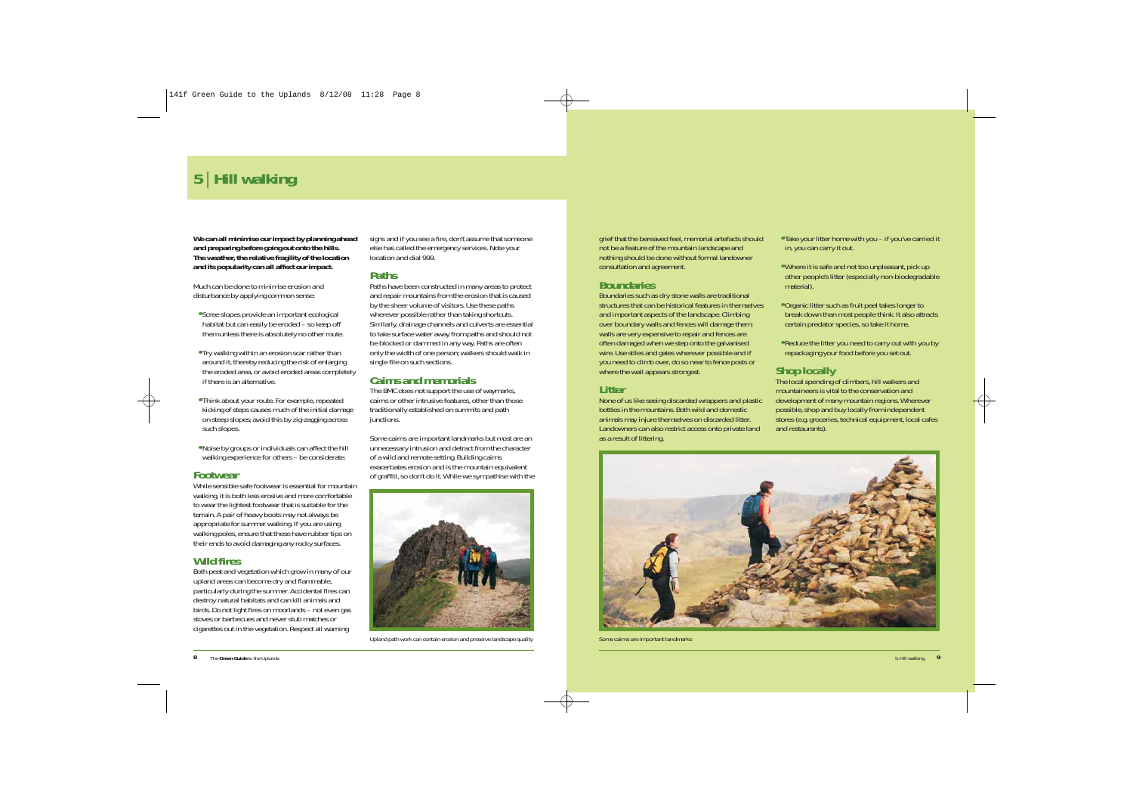# **<sup>5</sup>**| **Hill walking**

**We can all minimise our impact by planning ahead and preparing before going out onto the hills. The weather, the relative fragility of the location and its popularity can all affect our impact.**

Much can be done to minimise erosion and disturbance by applying common sense:

- **•** Scree slopes provide an important ecological habitat but can easily be eroded – so keep off them unless there is absolutely no other route.
- **•** Try walking within an erosion scar rather than around it, thereby reducing the risk of enlarging the eroded area, or avoid eroded areas completely if there is an alternative.
- **•** Think about your route. For example, repeated kicking of steps causes much of the initial damage on steep slopes; avoid this by zig-zagging across such slopes.
- **•** Noise by groups or individuals can affect the hill walking experience for others – be considerate.

#### **Footwear**

While sensible safe footwear is essential for mountain walking, it is both less erosive and more comfortable to wear the lightest footwear that is suitable for the terrain. A pair of heavy boots may not always be appropriate for summer walking. If you are using walking poles, ensure that these have rubber tips on their ends to avoid damaging any rocky surfaces.

### **Wild fires**

Both peat and vegetation which grow in many of our upland areas can become dry and flammable, particularly during the summer. Accidental fires can destroy natural habitats and can kill animals and birds. Do not light fires on moorlands – not even gas stoves or barbecues and never stub matches or cigarettes out in the vegetation. Respect all warning

signs and if you see a fire, don't assume that someone else has called the emergency services. Note your location and dial 999.

## **Paths**

Paths have been constructed in many areas to protect and repair mountains from the erosion that is caused by the sheer volume of visitors. Use these paths wherever possible rather than taking shortcuts. Similarly, drainage channels and culverts are essential to take surface water away from paths and should not be blocked or dammed in any way. Paths are often only the width of one person; walkers should walk in single file on such sections.

### **Cairns and memorials**

The BMC does not support the use of waymarks, cairns or other intrusive features, other than those traditionally established on summits and path junctions.

Some cairns are important landmarks but most are an unnecessary intrusion and detract from the character of a wild and remote setting. Building cairns exacerbates erosion and is the mountain equivalent of graffiti, so don't do it. While we sympathise with the



*Upland path work can contain erosion and preserve landscape quality*

grief that the bereaved feel, memorial artefacts should not be a feature of the mountain landscape and nothing should be done without formal landowner consultation and agreement.

### **Boundaries**

Boundaries such as dry stone walls are traditional structures that can be historical features in themselves and important aspects of the landscape. Climbing over boundary walls and fences will damage them; walls are very expensive to repair and fences are often damaged when we step onto the galvanised wire. Use stiles and gates wherever possible and if you need to climb over, do so near to fence posts or where the wall appears strongest.

#### **Litter**

None of us like seeing discarded wrappers and plastic bottles in the mountains. Both wild and domestic animals may injure themselves on discarded litter. Landowners can also restrict access onto private land as a result of littering.

#### **•** Take your litter home with you – if you've carried it in, you can carry it out.

- **•** Where it is safe and not too unpleasant, pick up other people's litter (especially non-biodegradable material).
- **•** Organic litter such as fruit peel takes longer to break down than most people think. It also attracts certain predator species, so take it home.
- **•** Reduce the litter you need to carry out with you by repackaging your food before you set out.

## **Shop locally**

The local spending of climbers, hill walkers and mountaineers is vital to the conservation and development of many mountain regions. Wherever possible, shop and buy locally from independent stores (e.g. groceries, technical equipment, local cafes and restaurants).



*Some cairns are important landmarks*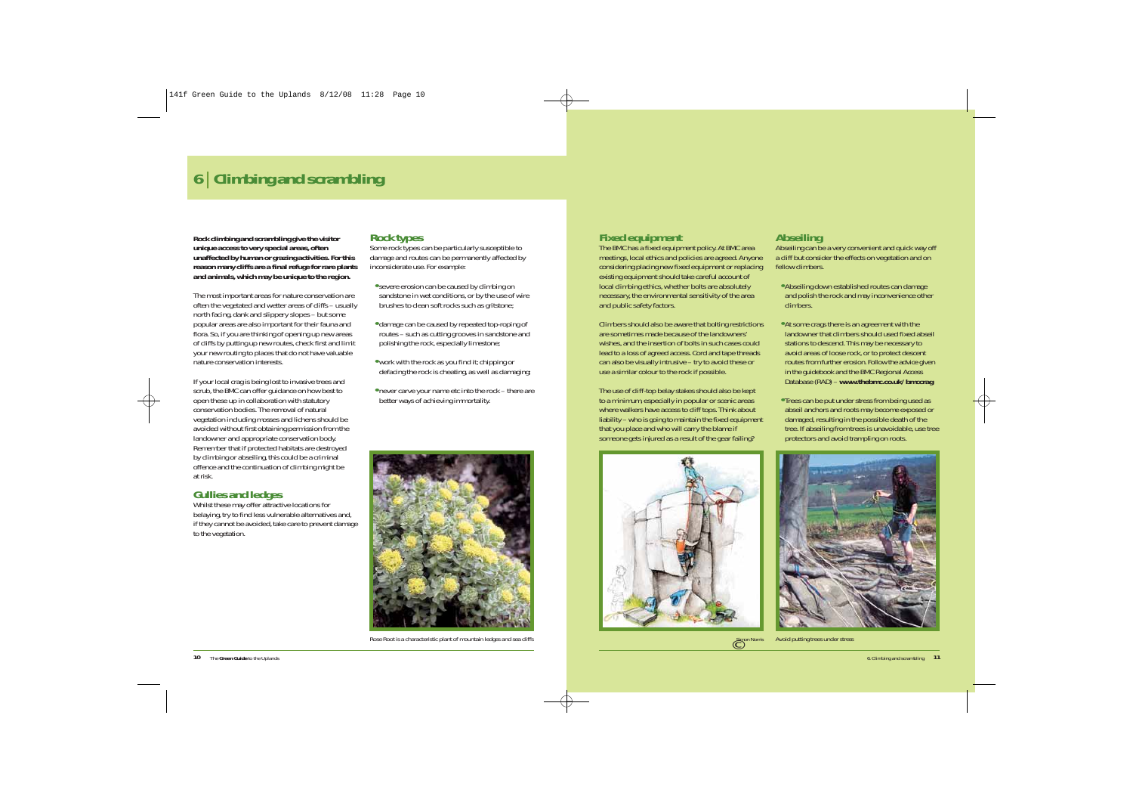# **<sup>6</sup>**| **Climbing and scrambling**

**Rock climbing and scrambling give the visitor unique access to very special areas, often unaffected by human or grazing activities. For this reason many cliffs are a final refuge for rare plants and animals, which may be unique to the region.** 

The most important areas for nature conservation are often the vegetated and wetter areas of cliffs – usually north facing, dank and slippery slopes – but some popular areas are also important for their fauna and flora. So, if you are thinking of opening up new areas of cliffs by putting up new routes, check first and limit your new routing to places that do not have valuable nature conservation interests.

If your local crag is being lost to invasive trees and scrub, the BMC can offer guidance on how best to open these up in collaboration with statutory conservation bodies. The removal of natural vegetation including mosses and lichens should be avoided without first obtaining permission from the landowner and appropriate conservation body. Remember that if protected habitats are destroyed by climbing or abseiling, this could be a criminal offence and the continuation of climbing might be at risk.

#### **Gullies and ledges**

Whilst these may offer attractive locations for belaying, try to find less vulnerable alternatives and, if they cannot be avoided, take care to prevent damage to the vegetation.

#### **Rock types**

Some rock types can be particularly susceptible to damage and routes can be permanently affected by inconsiderate use. For example:

- **•**severe erosion can be caused by climbing on sandstone in wet conditions, or by the use of wire brushes to clean soft rocks such as gritstone;
- **•** damage can be caused by repeated top-roping of routes – such as cutting grooves in sandstone and polishing the rock, especially limestone;
- **•** work with the rock as you find it; chipping or defacing the rock is cheating, as well as damaging;
- **•** never carve your name etc into the rock there are better ways of achieving immortality.



*Rose Root is a characteristic plant of mountain ledges and sea cliffs*

#### **Fixed equipment**

The BMC has a fixed equipment policy. At BMC area meetings, local ethics and policies are agreed. Anyone considering placing new fixed equipment or replacing existing equipment should take careful account of local climbing ethics, whether bolts are absolutely necessary, the environmental sensitivity of the area and public safety factors.

Climbers should also be aware that bolting restrictions are sometimes made because of the landowners' wishes, and the insertion of bolts in such cases could lead to a loss of agreed access. Cord and tape threads can also be visually intrusive – try to avoid these or use a similar colour to the rock if possible.

The use of cliff-top belay stakes should also be kept to a minimum, especially in popular or scenic areas where walkers have access to cliff tops. Think about liability – who is going to maintain the fixed equipment that you place and who will carry the blame if someone gets injured as a result of the gear failing?



#### **Abseiling**

Abseiling can be a very convenient and quick way off a cliff but consider the effects on vegetation and on fellow climbers.

- **•** Abseiling down established routes can damage and polish the rock and may inconvenience other climbers.
- **•** At some crags there is an agreement with the landowner that climbers should used fixed abseil stations to descend. This may be necessary to avoid areas of loose rock, or to protect descent routes from further erosion. Follow the advice given in the guidebook and the BMC *Regional Access Database* (RAD) – *www.thebmc.co.uk/bmccrag*
- **•** Trees can be put under stress from being used as abseil anchors and roots may become exposed or damaged, resulting in the possible death of the tree. If abseiling from trees is unavoidable, use tree protectors and avoid trampling on roots.



C<sup>Simon</sup> Norris *Simon Norris Avoid putting trees under stress*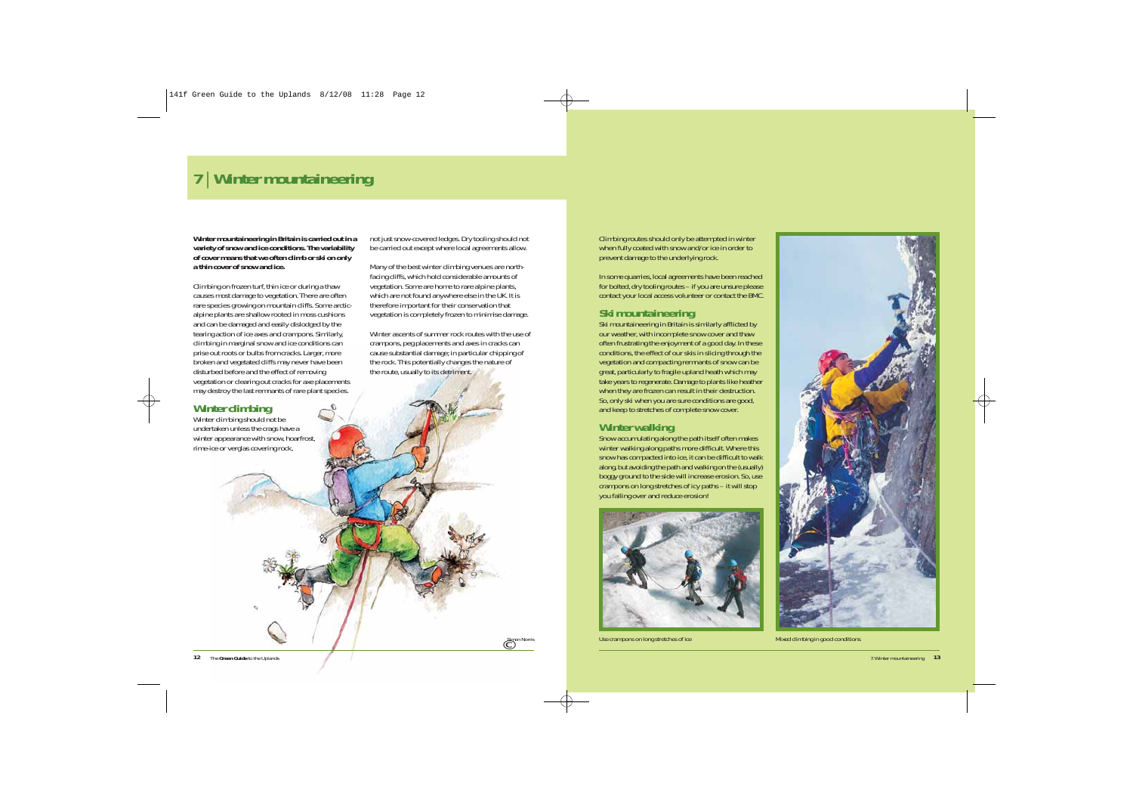# **<sup>7</sup>**| **Winter mountaineering**

**Winter mountaineering in Britain is carried out in a variety of snow and ice conditions. The variability of cover means that we often climb or ski on only a thin cover of snow and ice.** 

Climbing on frozen turf, thin ice or during a thaw causes most damage to vegetation. There are often rare species growing on mountain cliffs. Some arcticalpine plants are shallow rooted in moss cushions and can be damaged and easily dislodged by the tearing action of ice axes and crampons. Similarly, climbing in marginal snow and ice conditions can prise out roots or bulbs from cracks. Larger, more broken and vegetated cliffs may never have been disturbed before and the effect of removing vegetation or clearing out cracks for axe placements may destroy the last remnants of rare plant species.



not just snow-covered ledges. Dry tooling should not be carried out except where local agreements allow.

Many of the best winter climbing venues are northfacing cliffs, which hold considerable amounts of vegetation. Some are home to rare alpine plants, which are not found anywhere else in the UK. It is therefore important for their conservation that vegetation is completely frozen to minimise damage.

Winter ascents of summer rock routes with the use of crampons, peg placements and axes in cracks can cause substantial damage; in particular chipping of the rock. This potentially changes the nature of the route, usually to its detriment.

© *Simon Norris*

Climbing routes should only be attempted in winter when fully coated with snow and/or ice in order to prevent damage to the underlying rock.

In some quarries, local agreements have been reached for bolted, dry tooling routes – if you are unsure please contact your local access volunteer or contact the BMC.

#### **Ski mountaineering**

Ski mountaineering in Britain is similarly afflicted by our weather, with incomplete snow cover and thaw often frustrating the enjoyment of a good day. In these conditions, the effect of our skis in slicing through the vegetation and compacting remnants of snow can be great, particularly to fragile upland heath which may take years to regenerate. Damage to plants like heather when they are frozen can result in their destruction. So, only ski when you are sure conditions are good, and keep to stretches of complete snow cover.

### **Winter walking**

Snow accumulating along the path itself often makes winter walking along paths more difficult. Where this snow has compacted into ice, it can be difficult to walk along, but avoiding the path and walking on the (usually) boggy ground to the side will increase erosion. So, use crampons on long stretches of icy paths – it will stop you falling over and reduce erosion!



*Use crampons on long stretches of ice Mixed climbing in good conditions*

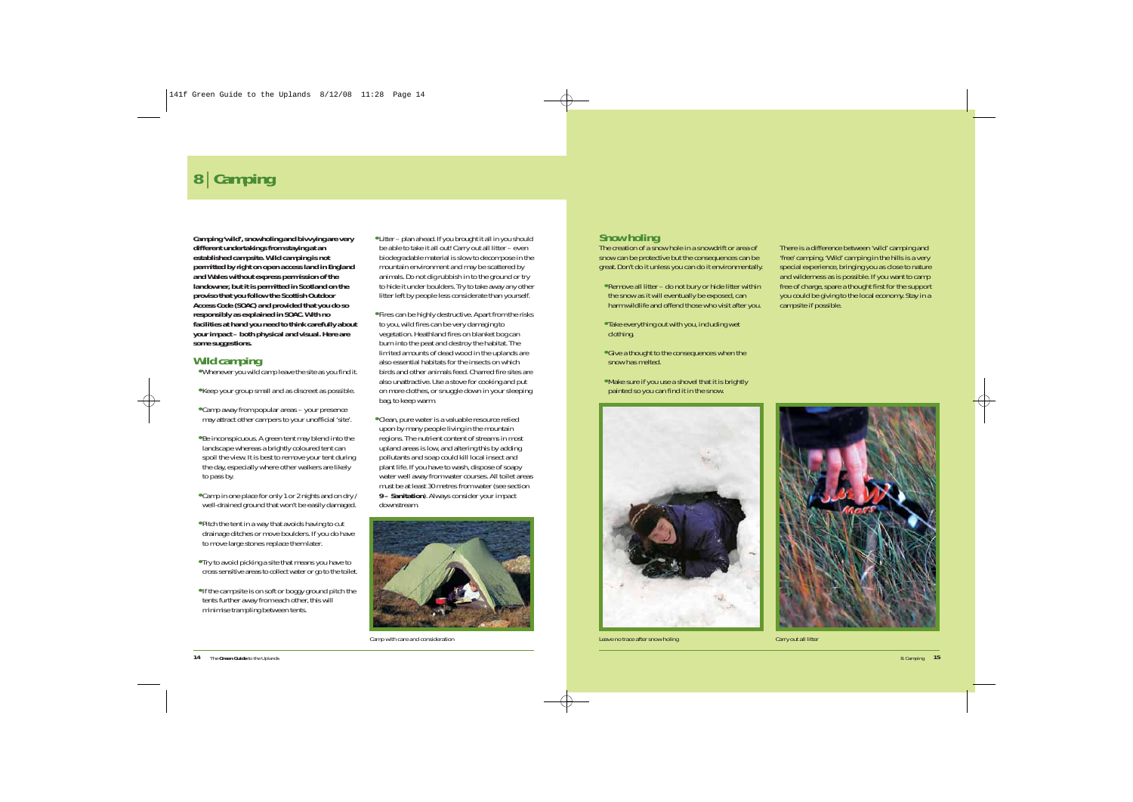# **<sup>8</sup>**| **Camping**

**Camping 'wild', snowholing and bivvying are very different undertakings from staying at an established campsite. Wild camping is not permitted by right on open access land in England and Wales without express permission of the landowner, but it is permitted in Scotland on the proviso that you follow the** *Scottish Outdoor Access Code (SOAC)* **and provided that you do so responsibly as explained in SOAC. With no facilities at hand you need to think carefully about your impact – both physical and visual. Here are some suggestions.**

### **Wild camping**

- **•** Whenever you wild camp leave the site as you find it.
- **•** Keep your group small and as discreet as possible.
- **•** Camp away from popular areas your presence may attract other campers to your unofficial 'site'.
- **•** Be inconspicuous. A green tent may blend into the landscape whereas a brightly coloured tent can spoil the view. It is best to remove your tent during the day, especially where other walkers are likely to pass by.
- **•** Camp in one place for only 1 or 2 nights and on dry / well-drained ground that won't be easily damaged.
- **•** Pitch the tent in a way that avoids having to cut drainage ditches or move boulders. If you do have to move large stones replace them later.
- **•** Try to avoid picking a site that means you have to cross sensitive areas to collect water or go to the toilet.
- **•**If the campsite is on soft or boggy ground pitch the tents further away from each other, this will minimise trampling between tents.
- **•** Litter plan ahead. If you brought it all in you should be able to take it all out! Carry out all litter – even biodegradable material is slow to decompose in the mountain environment and may be scattered by animals. Do not dig rubbish in to the ground or try to hide it under boulders. Try to take away any other litter left by people less considerate than yourself.
- **•** Fires can be highly destructive. Apart from the risks to you, wild fires can be very damaging to vegetation. Heathland fires on blanket bog can burn into the peat and destroy the habitat. The limited amounts of dead wood in the uplands are also essential habitats for the insects on which birds and other animals feed. Charred fire sites are also unattractive. Use a stove for cooking and put on more clothes, or snuggle down in your sleeping bag, to keep warm.
- **•** Clean, pure water is a valuable resource relied upon by many people living in the mountain regions. The nutrient content of streams in most upland areas is low, and altering this by adding pollutants and soap could kill local insect and plant life. If you have to wash, dispose of soapy water well away from water courses. All toilet areas must be at least 30 metres from water (see section *9 – Sanitation*). Always consider your impact downstream.



*Camp with care and consideration*

#### **Snow holing**

The creation of a snow hole in a snowdrift or area of snow can be protective but the consequences can be great. Don't do it unless you can do it environmentally.

- **•** Remove all litter do not bury or hide litter within the snow as it will eventually be exposed, can harm wildlife and offend those who visit after you.
- **•** Take everything out with you, including wet clothing.
- **•** Give a thought to the consequences when the snow has melted.
- **•** Make sure if you use a shovel that it is brightly painted so you can find it in the snow.



*Leave no trace after snow holing Carry out all litter*

There is a difference between 'wild' camping and 'free' camping. 'Wild' camping in the hills is a very special experience, bringing you as close to nature and wilderness as is possible. If you want to camp free of charge, spare a thought first for the support you could be giving to the local economy. Stay in a campsite if possible.

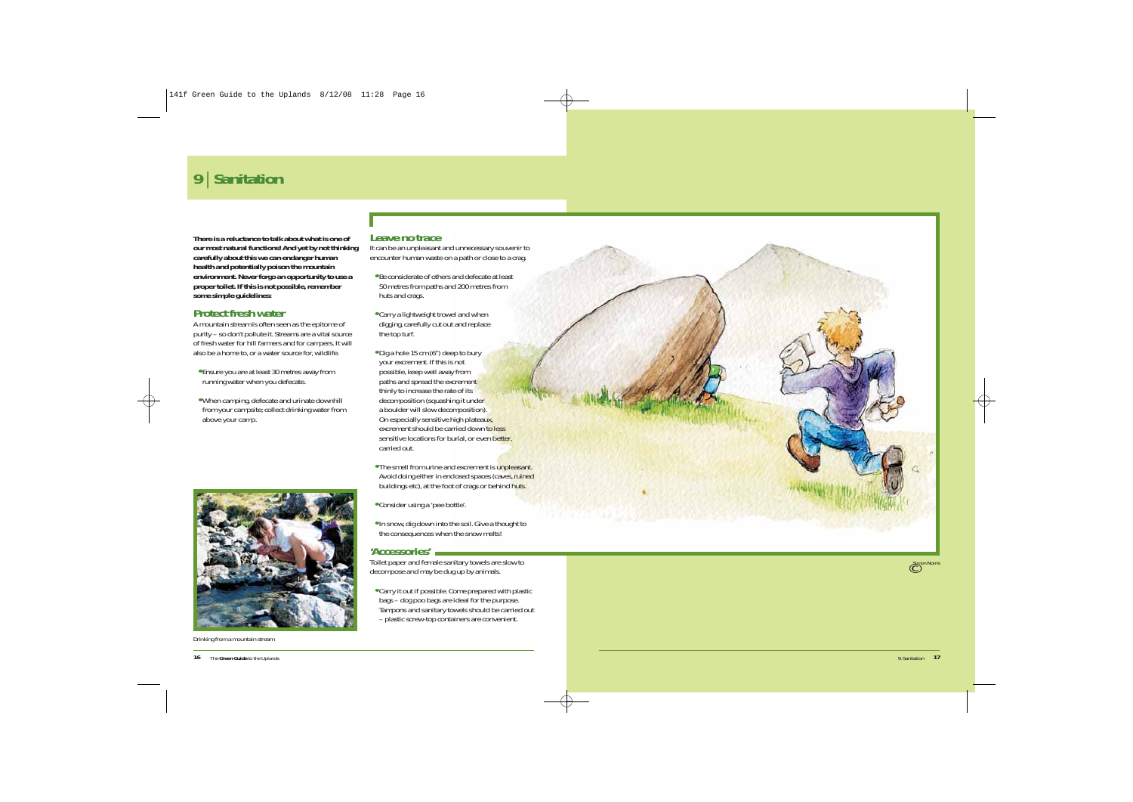# **<sup>9</sup>**| **Sanitation**

**There is a reluctance to talk about what is one of our most natural functions! And yet by not thinking carefully about this we can endanger human health and potentially poison the mountain environment. Never forgo an opportunity to use a proper toilet. If this is not possible, remember some simple guidelines:**

### **Protect fresh water**

A mountain stream is often seen as the epitome of purity – so don't pollute it. Streams are a vital source of fresh water for hill farmers and for campers. It will also be a home to, or a water source for, wildlife.

- **•** Ensure you are at least 30 metres away from running water when you defecate.
- **•** When camping, defecate and urinate downhill from your campsite; collect drinking water from above your camp.



*Drinking from a mountain stream*

#### **Leave no trace**

It can be an unpleasant and unnecessary souvenir to encounter human waste on a path or close to a crag.

- **•** Be considerate of others and defecate at least 50 metres from paths and 200 metres from huts and crags.
- **•** Carry a lightweight trowel and when digging, carefully cut out and replace the top turf.
- **•** Dig a hole 15 cm (6") deep to bury your excrement. If this is not possible, keep well away from paths and spread the excrement thinly to increase the rate of its decomposition (squashing it under a boulder will slow decomposition). On especially sensitive high plateaux, excrement should be carried down to less sensitive locations for burial, or even better. carried out.
- **•** The smell from urine and excrement is unpleasant. Avoid doing either in enclosed spaces (caves, ruined buildings etc), at the foot of crags or behind huts.

**•** Consider using a 'pee bottle'.

**•**In snow, dig down into the soil. Give a thought to the consequences when the snow melts!

#### **'Accessories'**

Toilet paper and female sanitary towels are slow to decompose and may be dug up by animals.

**•** Carry it out if possible. Come prepared with plastic bags – dog poo bags are ideal for the purpose. Tampons and sanitary towels should be carried out – plastic screw-top containers are convenient.

© *Simon Norris*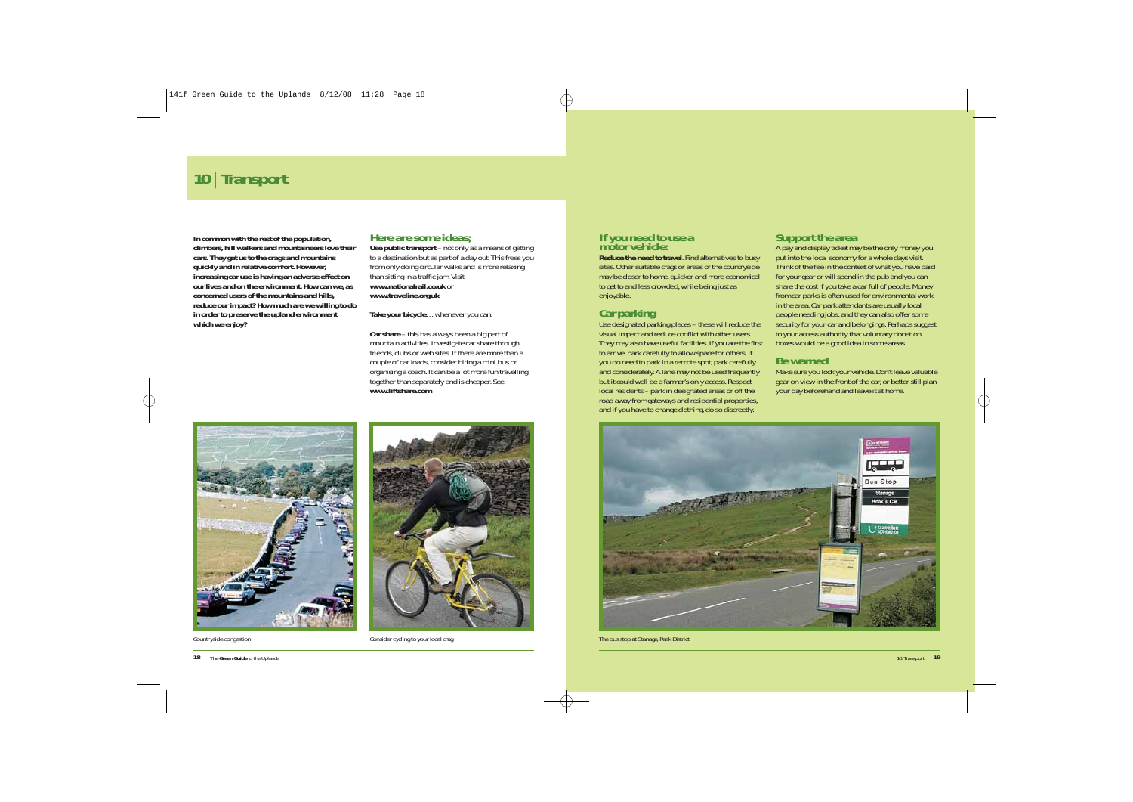# **<sup>10</sup>**| **Transport**

**In common with the rest of the population, climbers, hill walkers and mountaineers love their cars. They get us to the crags and mountains quickly and in relative comfort. However, increasing car use is having an adverse effect on our lives and on the environment. How can we, as concerned users of the mountains and hills, reduce our impact? How much are we willing to do in order to preserve the upland environment which we enjoy?**

#### **Here are some ideas;**

**Use public transport** – not only as a means of getting to a destination but as part of a day out. This frees you from only doing circular walks and is more relaxing than sitting in a traffic jam. Visit *www.nationalrail.co.uk* or *www.traveline.org.uk*

**Take your bicycle**… whenever you can.

**Car share** – this has always been a big part of mountain activities. Investigate car share through friends, clubs or web sites. If there are more than a couple of car loads, consider hiring a mini bus or organising a coach. It can be a lot more fun travelling together than separately and is cheaper. See *www.liftshare.com*



*Countryside congestion Consider cycling to your local crag*

# **If you need to use a motor vehicle:**

**Reduce the need to travel**. Find alternatives to busy sites. Other suitable crags or areas of the countryside may be closer to home, quicker and more economical to get to and less crowded, while being just as enjoyable.

#### **Car parking**

Use designated parking places – these will reduce the visual impact and reduce conflict with other users. They may also have useful facilities. If you are the first to arrive, park carefully to allow space for others. If you do need to park in a remote spot, park carefully and considerately. A lane may not be used frequently but it could well be a farmer's only access. Respect local residents – park in designated areas or off the road away from gateways and residential properties, and if you have to change clothing, do so discreetly.

### **Support the area**

A pay and display ticket may be the only money you put into the local economy for a whole days visit. Think of the fee in the context of what you have paid for your gear or will spend in the pub and you can share the cost if you take a car full of people. Money from car parks is often used for environmental work in the area. Car park attendants are usually local people needing jobs, and they can also offer some security for your car and belongings. Perhaps suggest to your access authority that voluntary donation boxes would be a good idea in some areas.

### **Be warned**

Make sure you lock your vehicle. Don't leave valuable gear on view in the front of the car, or better still plan your day beforehand and leave it at home.



*The bus stop at Stanage, Peak District*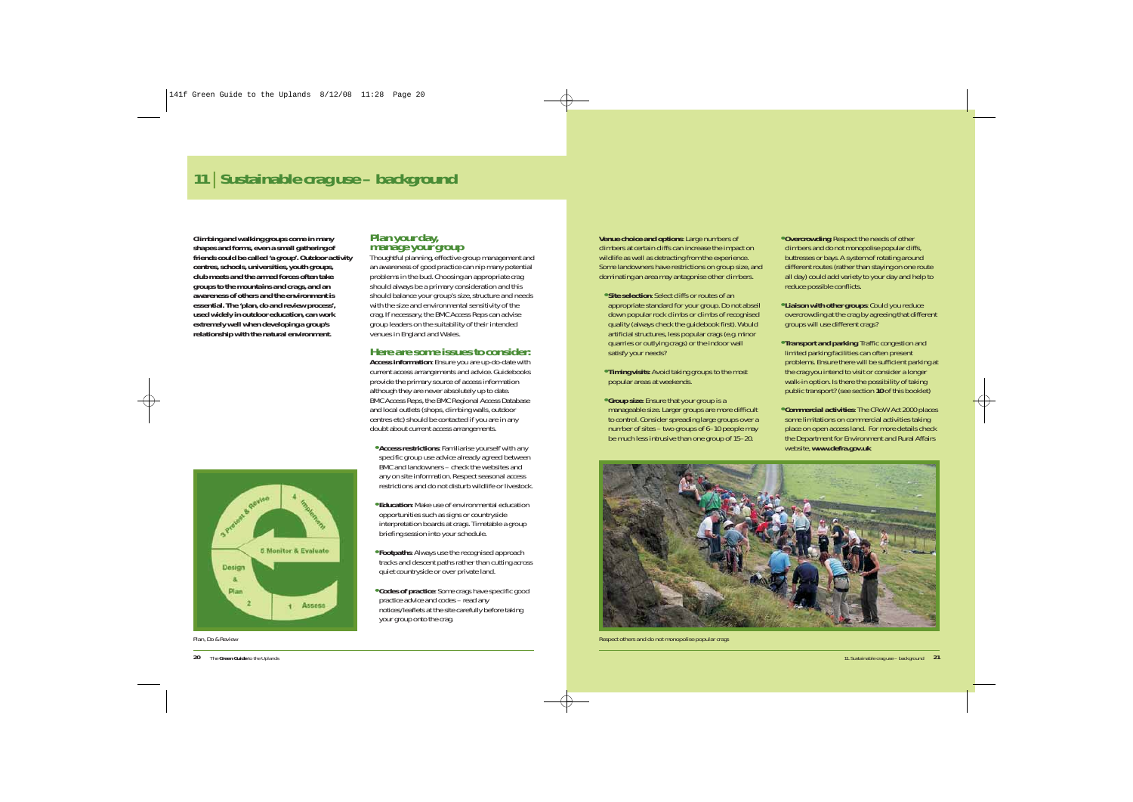# **<sup>11</sup>**| **Sustainable crag use – background**

**Climbing and walking groups come in many shapes and forms, even a small gathering of friends could be called 'a group'. Outdoor activity centres, schools, universities, youth groups, club meets and the armed forces often take groups to the mountains and crags, and an awareness of others and the environment is essential. The 'plan, do and review process', used widely in outdoor education, can work extremely well when developing a group's relationship with the natural environment.**



*Plan, Do & Review*

**20** The **Green Guide** to the Uplands

# **Plan your day, manage your group**

Thoughtful planning, effective group management and an awareness of good practice can nip many potential problems in the bud. Choosing an appropriate crag should always be a primary consideration and this should balance your group's size, structure and needs with the size and environmental sensitivity of the crag. If necessary, the BMC Access Reps can advise group leaders on the suitability of their intended venues in England and Wales.

#### **Here are some issues to consider:**

**Access information**: Ensure you are up-do-date with current access arrangements and advice. Guidebooks provide the primary source of access information although they are never absolutely up to date. BMC Access Reps, the BMC Regional Access Database and local outlets (shops, climbing walls, outdoor centres etc) should be contacted if you are in any doubt about current access arrangements.

- **• Access restrictions**: Familiarise yourself with any specific group use advice already agreed between BMC and landowners – check the websites and any on site information. Respect seasonal access restrictions and do not disturb wildlife or livestock.
- **• Education**: Make use of environmental education opportunities such as signs or countryside interpretation boards at crags. Timetable a group briefing session into your schedule.
- **• Footpaths**: Always use the recognised approach tracks and descent paths rather than cutting across quiet countryside or over private land.
- **• Codes of practice**: Some crags have specific good practice advice and codes – read any notices/leaflets at the site carefully before taking your group onto the crag.

**Venue choice and options**: Large numbers of climbers at certain cliffs can increase the impact on wildlife as well as detracting from the experience. Some landowners have restrictions on group size, and dominating an area may antagonise other climbers.

- **• Site selection**: Select cliffs or routes of an appropriate standard for your group. Do not abseil down popular rock climbs or climbs of recognised quality (always check the guidebook first). Would artificial structures, less popular crags (e.g. minor quarries or outlying crags) or the indoor wall satisfy your needs?
- **• Timing visits**: Avoid taking groups to the most popular areas at weekends.
- **• Group size**: Ensure that your group is a manageable size. Larger groups are more difficult to control. Consider spreading large groups over a number of sites – two groups of 6–10 people may be much less intrusive than one group of 15–20.
- **• Overcrowding**: Respect the needs of other climbers and do not monopolise popular cliffs, buttresses or bays. A system of rotating around different routes (rather than staying on one route all day) could add variety to your day and help to reduce possible conflicts.
- **• Liaison with other groups**: Could you reduce overcrowding at the crag by agreeing that different groups will use different crags?
- **• Transport and parking**: Traffic congestion and limited parking facilities can often present problems. Ensure there will be sufficient parking at the crag you intend to visit or consider a longer walk-in option. Is there the possibility of taking public transport? (see section *10* of this booklet)
- **• Commercial activities**: The CRoW Act 2000 places some limitations on commercial activities taking place on open access land. For more details check the Department for Environment and Rural Affairs website, *www.defra.gov.uk*



*Respect others and do not monopolise popular crags*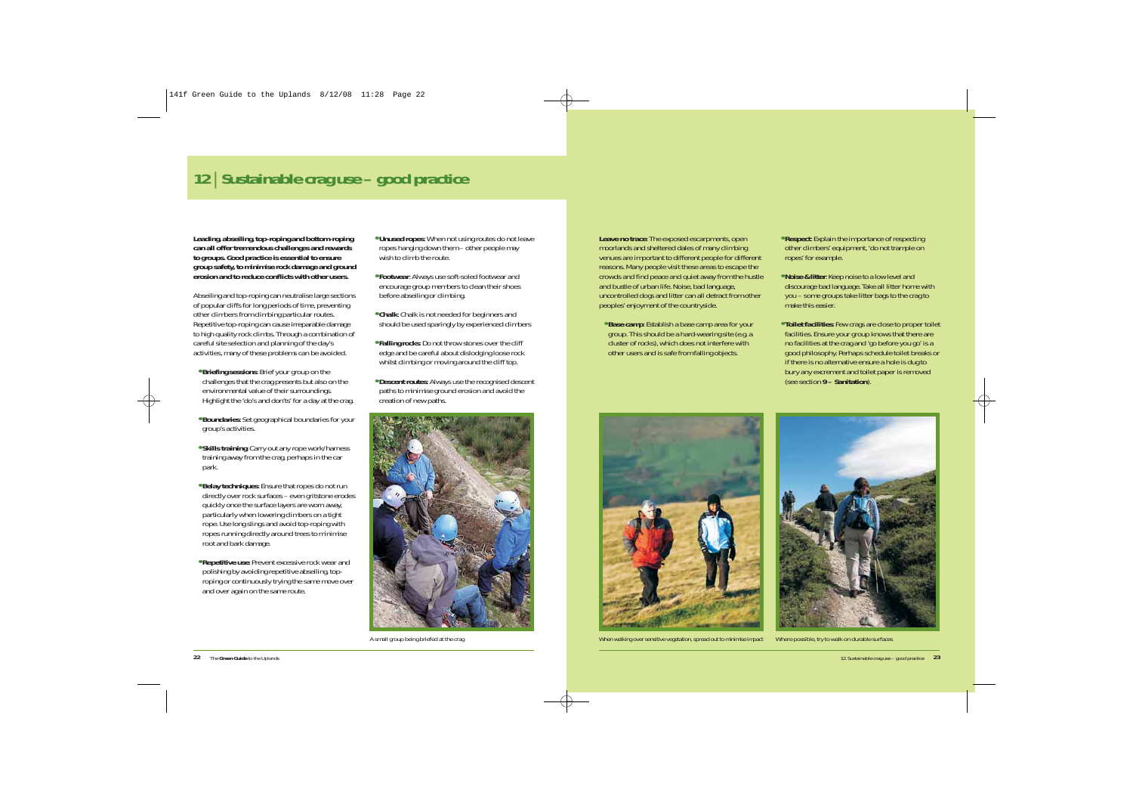# **<sup>12</sup>**| **Sustainable crag use – good practice**

**Leading, abseiling, top-roping and bottom-roping can all offer tremendous challenges and rewards to groups. Good practice is essential to ensure group safety, to minimise rock damage and ground erosion and to reduce conflicts with other users.** 

Abseiling and top-roping can neutralise large sections of popular cliffs for long periods of time, preventing other climbers from climbing particular routes. Repetitive top-roping can cause irreparable damage to high quality rock climbs. Through a combination of careful site selection and planning of the day's activities, many of these problems can be avoided.

- **• Briefing sessions**: Brief your group on the challenges that the crag presents but also on the environmental value of their surroundings. Highlight the 'do's and don'ts' for a day at the crag.
- **• Boundaries**: Set geographical boundaries for your group's activities.
- **• Skills training**: Carry out any rope work/harness training away from the crag, perhaps in the car park.
- **• Belay techniques**: Ensure that ropes do not run directly over rock surfaces – even gritstone erodes quickly once the surface layers are worn away, particularly when lowering climbers on a tight rope. Use long slings and avoid top-roping with ropes running directly around trees to minimise root and bark damage.
- **• Repetitive use**: Prevent excessive rock wear and polishing by avoiding repetitive abseiling, toproping or continuously trying the same move over and over again on the same route.
- **• Unused ropes**: When not using routes do not leave ropes hanging down them – other people may wish to climb the route.
- **• Footwear**: Always use soft-soled footwear and encourage group members to clean their shoes before abseiling or climbing.
- **• Chalk**: Chalk is not needed for beginners and should be used sparingly by experienced climbers
- **• Falling rocks**: Do not throw stones over the cliff edge and be careful about dislodging loose rock whilst climbing or moving around the cliff top.
- **• Descent routes**: Always use the recognised descent paths to minimise ground erosion and avoid the creation of new paths.



*A small group being briefed at the crag*

**Leave no trace**: The exposed escarpments, open moorlands and sheltered dales of many climbing venues are important to different people for different reasons. Many people visit these areas to escape the crowds and find peace and quiet away from the hustle and bustle of urban life. Noise, bad language, uncontrolled dogs and litter can all detract from other peoples' enjoyment of the countryside.

**• Base camp**: Establish a base camp area for your group. This should be a hard-wearing site (e.g. a cluster of rocks), which does not interfere with other users and is safe from falling objects.



- **• Noise & litter**: Keep noise to a low level and discourage bad language. Take all litter home with you – some groups take litter bags to the crag to make this easier.
- **• Toilet facilities**: Few crags are close to proper toilet facilities. Ensure your group knows that there are no facilities at the crag and 'go before you go' is a good philosophy. Perhaps schedule toilet breaks or if there is no alternative ensure a hole is dug to bury any excrement and toilet paper is removed (see section *9 – Sanitation*).



*When walking over sensitive vegetation, spread out to minimise impact Where possible, try to walk on durable surfaces*

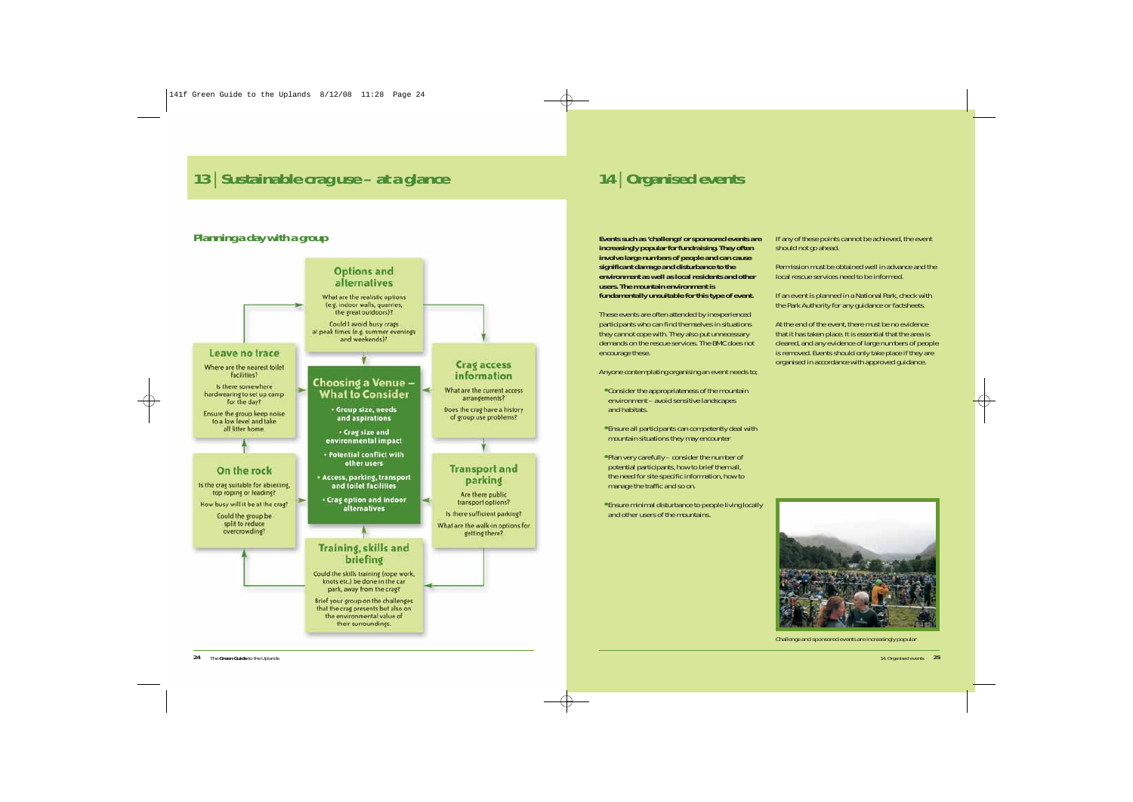# **<sup>13</sup>**| **Sustainable crag use – at a glance <sup>14</sup>**| **Organised events**

## **Planning a day with a group**



**Events such as 'challenge' or sponsored events are increasingly popular for fundraising. They often involve large numbers of people and can cause significant damage and disturbance to the environment as well as local residents and other users. The mountain environment is fundamentally unsuitable for this type of event.** 

These events are often attended by inexperienced participants who can find themselves in situations they cannot cope with. They also put unnecessary demands on the rescue services. The BMC does not encourage these.

Anyone contemplating organising an event needs to;

- **•** Consider the appropriateness of the mountain environment – avoid sensitive landscapes and habitats.
- **•** Ensure all participants can competently deal with mountain situations they may encounter
- **•** Plan very carefully consider the number of potential participants, how to brief them all, the need for site specific information, how to manage the traffic and so on.
- **•** Ensure minimal disturbance to people living locally and other users of the mountains.

If any of these points cannot be achieved, the event should not go ahead.

Permission must be obtained well in advance and the local rescue services need to be informed.

If an event is planned in a National Park, check with the Park Authority for any guidance or factsheets.

At the end of the event, there must be no evidence that it has taken place. It is essential that the area is cleared, and any evidence of large numbers of people is removed. Events should only take place if they are organised in accordance with approved guidance.



*Challenge and sponsored events are increasingly popular*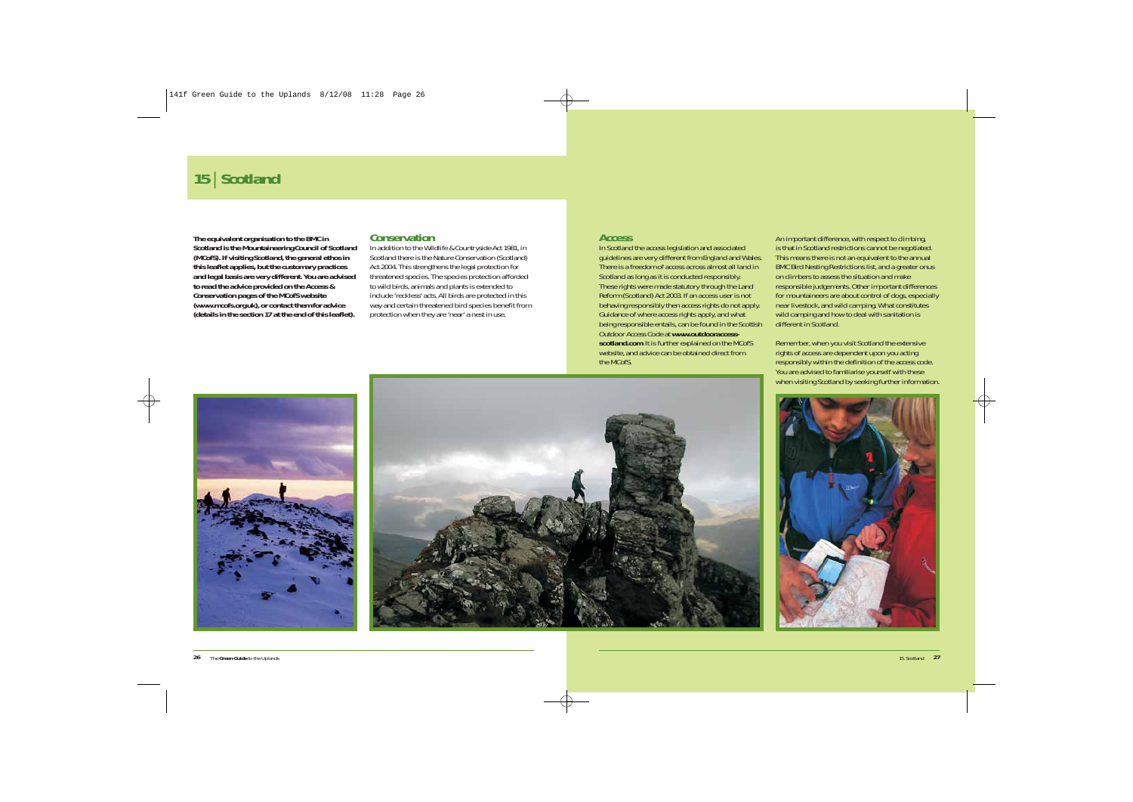# **<sup>15</sup>**| **Scotland**

**The equivalent organisation to the BMC in Scotland is the** *Mountaineering Council of Scotland (MCofS)***. If visiting Scotland, the general ethos in this leaflet applies, but the customary practices and legal basis are very different. You are advised to read the advice provided on the Access & Conservation pages of the MCofS website (***www.mcofs.org.uk***), or contact them for advice (details in the section** *17* **at the end of this leaflet).**

#### **Conservation**

In addition to the *Wildlife & Countryside Act 1981*, in Scotland there is the *Nature Conservation (Scotland) Act 2004*. This strengthens the legal protection for threatened species. The species protection afforded to wild birds, animals and plants is extended to include 'reckless' acts. All birds are protected in this way and certain threatened bird species benefit from protection when they are 'near' a nest in use.

#### **Access**

In Scotland the access legislation and associated guidelines are very different from England and Wales. There is a freedom of access across almost all land in Scotland as long as it is conducted responsibly. These rights were made statutory through the *Land Reform (Scotland) Act 2003*. If an access user is not behaving responsibly then access rights do not apply. Guidance of where access rights apply, and what being responsible entails, can be found in the *Scottish Outdoor Access Code* at *www.outdooraccessscotland.com*. It is further explained on the MCofS website, and advice can be obtained direct from the MCofS.

An important difference, with respect to climbing, is that in Scotland restrictions cannot be negotiated. This means there is not an equivalent to the annual BMC Bird Nesting Restrictions list, and a greater onus on climbers to assess the situation and make responsible judgements. Other important differences for mountaineers are about control of dogs, especially near livestock, and wild camping. What constitutes wild camping and how to deal with sanitation is different in Scotland.

Remember, when you visit Scotland the extensive rights of access are dependent upon you acting responsibly within the definition of the access code. You are advised to familiarise yourself with these when visiting Scotland by seeking further information.





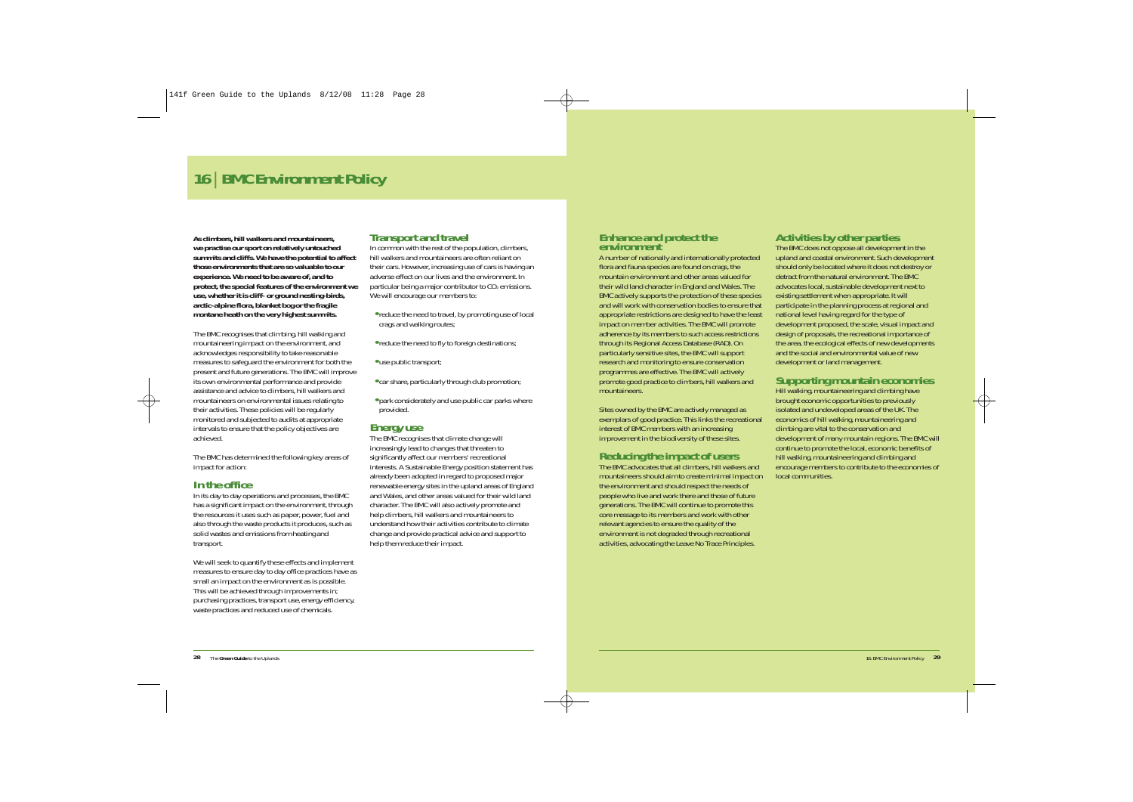# **<sup>16</sup>**| **BMC Environment Policy**

**As climbers, hill walkers and mountaineers, we practise our sport on relatively untouched summits and cliffs. We have the potential to affect those environments that are so valuable to our experience. We need to be aware of, and to protect, the special features of the environment we use, whether it is cliff- or ground nesting-birds, arctic-alpine flora, blanket bog or the fragile montane heath on the very highest summits.**

The BMC recognises that climbing, hill walking and mountaineering impact on the environment, and acknowledges responsibility to take reasonable measures to safeguard the environment for both the present and future generations. The BMC will improve its own environmental performance and provide assistance and advice to climbers, hill walkers and mountaineers on environmental issues relating to their activities. These policies will be regularly monitored and subjected to audits at appropriate intervals to ensure that the policy objectives are achieved.

The BMC has determined the following key areas of impact for action:

### **In the office**

In its day to day operations and processes, the BMC has a significant impact on the environment, through the resources it uses such as paper, power, fuel and also through the waste products it produces, such as solid wastes and emissions from heating and transport.

We will seek to quantify these effects and implement measures to ensure day to day office practices have as small an impact on the environment as is possible. This will be achieved through improvements in; purchasing practices, transport use, energy efficiency, waste practices and reduced use of chemicals.

### **Transport and travel**

In common with the rest of the population, climbers, hill walkers and mountaineers are often reliant on their cars. However, increasing use of cars is having an adverse effect on our lives and the environment. In particular being a major contributor to  $CO<sub>2</sub>$  emissions. We will encourage our members to:

- **•** reduce the need to travel, by promoting use of local crags and walking routes;
- **•** reduce the need to fly to foreign destinations;
- **•** use public transport;
- **•** car share, particularly through club promotion;
- **•** park considerately and use public car parks where provided.

### **Energy use**

The BMC recognises that climate change will increasingly lead to changes that threaten to significantly affect our members' recreational interests. A Sustainable Energy position statement has already been adopted in regard to proposed major renewable energy sites in the upland areas of England and Wales, and other areas valued for their wild land character. The BMC will also actively promote and help climbers, hill walkers and mountaineers to understand how their activities contribute to climate change and provide practical advice and support to help them reduce their impact.

# **Enhance and protect the environment**

A number of nationally and internationally protected flora and fauna species are found on crags, the mountain environment and other areas valued for their wild land character in England and Wales. The BMC actively supports the protection of these species and will work with conservation bodies to ensure that appropriate restrictions are designed to have the least impact on member activities. The BMC will promote adherence by its members to such access restrictions through its Regional Access Database (RAD). On particularly sensitive sites, the BMC will support research and monitoring to ensure conservation programmes are effective. The BMC will actively promote good practice to climbers, hill walkers and mountaineers.

Sites owned by the BMC are actively managed as exemplars of good practice. This links the recreational interest of BMC members with an increasing improvement in the biodiversity of these sites.

### **Reducing the impact of users**

The BMC advocates that all climbers, hill walkers and mountaineers should aim to create minimal impact on the environment and should respect the needs of people who live and work there and those of future generations. The BMC will continue to promote this core message to its members and work with other relevant agencies to ensure the quality of the environment is not degraded through recreational activities, advocating the Leave No Trace Principles.

### **Activities by other parties**

The BMC does not oppose all development in the upland and coastal environment. Such development should only be located where it does not destroy or detract from the natural environment. The BMC advocates local, sustainable development next to existing settlement when appropriate. It will participate in the planning process at regional and national level having regard for the type of development proposed, the scale, visual impact and design of proposals, the recreational importance of the area, the ecological effects of new developments and the social and environmental value of new development or land management.

### **Supporting mountain economies**

Hill walking, mountaineering and climbing have brought economic opportunities to previously isolated and undeveloped areas of the UK. The economics of hill walking, mountaineering and climbing are vital to the conservation and development of many mountain regions. The BMC will continue to promote the local, economic benefits of hill walking, mountaineering and climbing and encourage members to contribute to the economies of local communities.